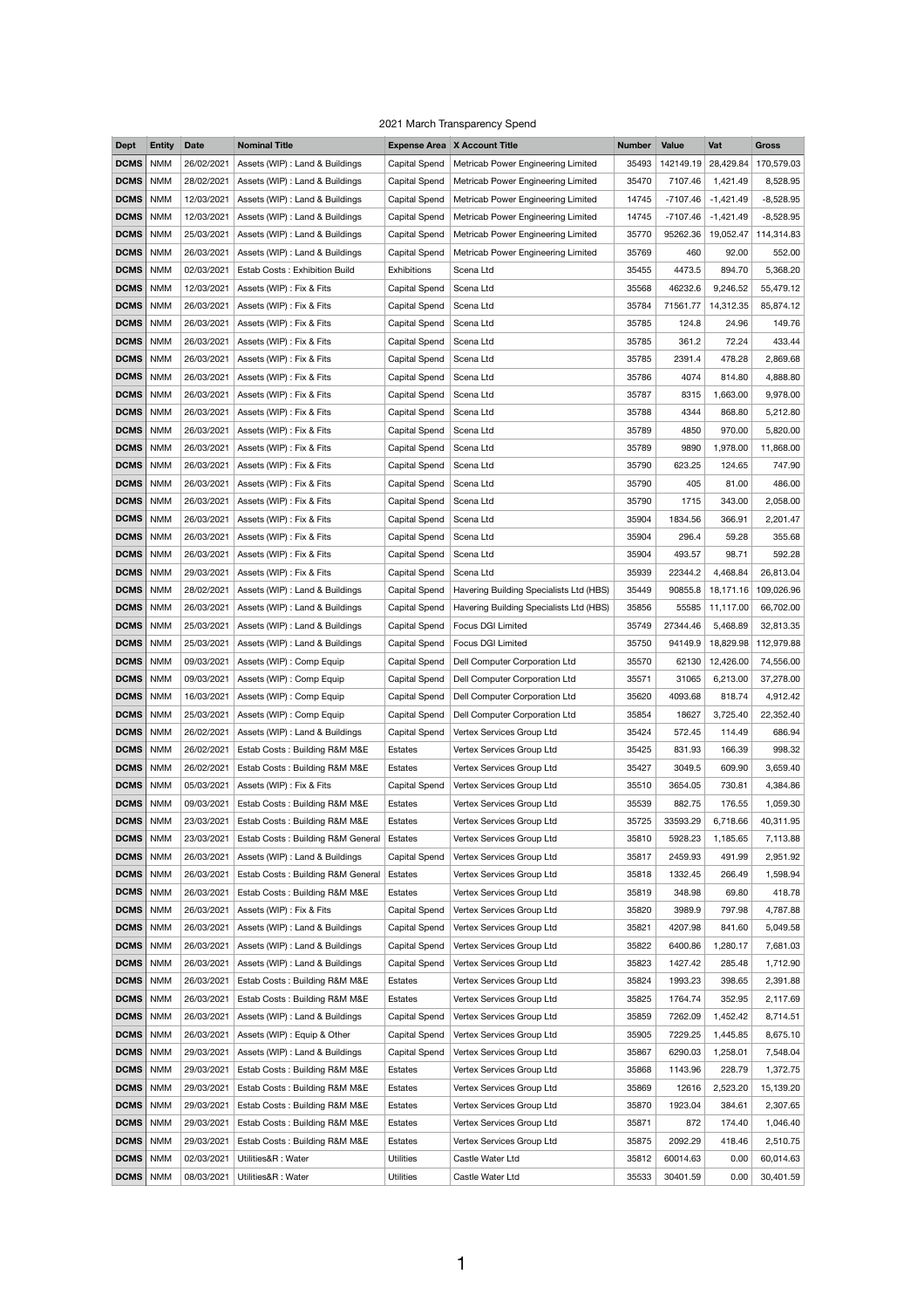## 2021 March Transparency Spend

| <b>Dept</b> | <b>Entity</b> | <b>Date</b> | <b>Nominal Title</b>              |                      | <b>Expense Area   X Account Title</b>   | <b>Number</b> | Value      | Vat         | <b>Gross</b> |
|-------------|---------------|-------------|-----------------------------------|----------------------|-----------------------------------------|---------------|------------|-------------|--------------|
| <b>DCMS</b> | <b>NMM</b>    | 26/02/2021  | Assets (WIP) : Land & Buildings   | Capital Spend        | Metricab Power Engineering Limited      | 35493         | 142149.19  | 28,429.84   | 170,579.03   |
| <b>DCMS</b> | <b>NMM</b>    | 28/02/2021  | Assets (WIP) : Land & Buildings   | <b>Capital Spend</b> | Metricab Power Engineering Limited      | 35470         | 7107.46    | 1,421.49    | 8,528.95     |
| <b>DCMS</b> | <b>NMM</b>    | 12/03/2021  | Assets (WIP) : Land & Buildings   | <b>Capital Spend</b> | Metricab Power Engineering Limited      | 14745         | $-7107.46$ | $-1,421.49$ | $-8,528.95$  |
| <b>DCMS</b> | <b>NMM</b>    | 12/03/2021  | Assets (WIP) : Land & Buildings   | Capital Spend        | Metricab Power Engineering Limited      | 14745         | $-7107.46$ | $-1,421.49$ | $-8,528.95$  |
| <b>DCMS</b> | <b>NMM</b>    | 25/03/2021  | Assets (WIP) : Land & Buildings   | <b>Capital Spend</b> | Metricab Power Engineering Limited      | 35770         | 95262.36   | 19,052.47   | 114,314.83   |
| <b>DCMS</b> | <b>NMM</b>    | 26/03/2021  | Assets (WIP) : Land & Buildings   | <b>Capital Spend</b> | Metricab Power Engineering Limited      | 35769         | 460        | 92.00       | 552.00       |
| <b>DCMS</b> | <b>NMM</b>    | 02/03/2021  | Estab Costs: Exhibition Build     | <b>Exhibitions</b>   | Scena Ltd                               | 35455         | 4473.5     | 894.70      | 5,368.20     |
| <b>DCMS</b> | <b>NMM</b>    | 12/03/2021  | Assets (WIP) : Fix & Fits         | Capital Spend        | Scena Ltd                               | 35568         | 46232.6    | 9,246.52    | 55,479.12    |
| <b>DCMS</b> | <b>NMM</b>    | 26/03/2021  | Assets (WIP) : Fix & Fits         | Capital Spend        | Scena Ltd                               | 35784         | 71561.77   | 14,312.35   | 85,874.12    |
|             |               |             |                                   |                      |                                         |               |            |             |              |
| <b>DCMS</b> | <b>NMM</b>    | 26/03/2021  | Assets (WIP) : Fix & Fits         | <b>Capital Spend</b> | Scena Ltd                               | 35785         | 124.8      | 24.96       | 149.76       |
| <b>DCMS</b> | <b>NMM</b>    | 26/03/2021  | Assets (WIP) : Fix & Fits         | Capital Spend        | Scena Ltd                               | 35785         | 361.2      | 72.24       | 433.44       |
| <b>DCMS</b> | <b>NMM</b>    | 26/03/2021  | Assets (WIP) : Fix & Fits         | Capital Spend        | Scena Ltd                               | 35785         | 2391.4     | 478.28      | 2,869.68     |
| <b>DCMS</b> | <b>NMM</b>    | 26/03/2021  | Assets (WIP) : Fix & Fits         | Capital Spend        | Scena Ltd                               | 35786         | 4074       | 814.80      | 4,888.80     |
| <b>DCMS</b> | <b>NMM</b>    | 26/03/2021  | Assets (WIP) : Fix & Fits         | Capital Spend        | Scena Ltd                               | 35787         | 8315       | 1,663.00    | 9,978.00     |
| <b>DCMS</b> | <b>NMM</b>    | 26/03/2021  | Assets (WIP) : Fix & Fits         | Capital Spend        | Scena Ltd                               | 35788         | 4344       | 868.80      | 5,212.80     |
| <b>DCMS</b> | <b>NMM</b>    | 26/03/2021  | Assets (WIP) : Fix & Fits         | <b>Capital Spend</b> | Scena Ltd                               | 35789         | 4850       | 970.00      | 5,820.00     |
| <b>DCMS</b> | <b>NMM</b>    | 26/03/2021  | Assets (WIP) : Fix & Fits         | Capital Spend        | Scena Ltd                               | 35789         | 9890       | 1,978.00    | 11,868.00    |
| <b>DCMS</b> | <b>NMM</b>    | 26/03/2021  | Assets (WIP) : Fix & Fits         | Capital Spend        | Scena Ltd                               | 35790         | 623.25     | 124.65      | 747.90       |
| <b>DCMS</b> | <b>NMM</b>    | 26/03/2021  | Assets (WIP) : Fix & Fits         | Capital Spend        | Scena Ltd                               | 35790         | 405        | 81.00       | 486.00       |
| <b>DCMS</b> | <b>NMM</b>    | 26/03/2021  | Assets (WIP) : Fix & Fits         | Capital Spend        | Scena Ltd                               | 35790         | 1715       | 343.00      | 2,058.00     |
| <b>DCMS</b> | <b>NMM</b>    | 26/03/2021  | Assets (WIP) : Fix & Fits         | Capital Spend        | Scena Ltd                               | 35904         | 1834.56    | 366.91      | 2,201.47     |
| <b>DCMS</b> | <b>NMM</b>    | 26/03/2021  | Assets (WIP) : Fix & Fits         | <b>Capital Spend</b> | Scena Ltd                               | 35904         | 296.4      | 59.28       | 355.68       |
| <b>DCMS</b> | <b>NMM</b>    | 26/03/2021  | Assets (WIP) : Fix & Fits         | Capital Spend        | Scena Ltd                               | 35904         | 493.57     | 98.71       | 592.28       |
| <b>DCMS</b> | <b>NMM</b>    | 29/03/2021  | Assets (WIP) : Fix & Fits         | Capital Spend        | Scena Ltd                               | 35939         | 22344.2    | 4,468.84    | 26,813.04    |
| <b>DCMS</b> | <b>NMM</b>    | 28/02/2021  | Assets (WIP) : Land & Buildings   | <b>Capital Spend</b> | Havering Building Specialists Ltd (HBS) | 35449         | 90855.8    | 18,171.16   | 109,026.96   |
| <b>DCMS</b> | <b>NMM</b>    | 26/03/2021  | Assets (WIP) : Land & Buildings   | <b>Capital Spend</b> | Havering Building Specialists Ltd (HBS) | 35856         | 55585      | 11,117.00   | 66,702.00    |
| <b>DCMS</b> | <b>NMM</b>    | 25/03/2021  | Assets (WIP) : Land & Buildings   | Capital Spend        | Focus DGI Limited                       | 35749         | 27344.46   | 5,468.89    | 32,813.35    |
| <b>DCMS</b> | <b>NMM</b>    | 25/03/2021  | Assets (WIP) : Land & Buildings   | <b>Capital Spend</b> | Focus DGI Limited                       | 35750         | 94149.9    | 18,829.98   | 112,979.88   |
| <b>DCMS</b> | <b>NMM</b>    | 09/03/2021  | Assets (WIP) : Comp Equip         | <b>Capital Spend</b> | Dell Computer Corporation Ltd           | 35570         | 62130      | 12,426.00   | 74,556.00    |
| <b>DCMS</b> | <b>NMM</b>    | 09/03/2021  | Assets (WIP) : Comp Equip         | <b>Capital Spend</b> | Dell Computer Corporation Ltd           | 35571         | 31065      | 6,213.00    | 37,278.00    |
| <b>DCMS</b> | <b>NMM</b>    | 16/03/2021  | Assets (WIP) : Comp Equip         | <b>Capital Spend</b> | Dell Computer Corporation Ltd           | 35620         | 4093.68    | 818.74      | 4,912.42     |
| <b>DCMS</b> | <b>NMM</b>    | 25/03/2021  | Assets (WIP) : Comp Equip         | <b>Capital Spend</b> | Dell Computer Corporation Ltd           | 35854         | 18627      | 3,725.40    | 22,352.40    |
| <b>DCMS</b> |               |             |                                   |                      |                                         |               |            |             | 686.94       |
|             | <b>NMM</b>    | 26/02/2021  | Assets (WIP) : Land & Buildings   | <b>Capital Spend</b> | Vertex Services Group Ltd               | 35424         | 572.45     | 114.49      |              |
| <b>DCMS</b> | <b>NMM</b>    | 26/02/2021  | Estab Costs: Building R&M M&E     | Estates              | Vertex Services Group Ltd               | 35425         | 831.93     | 166.39      | 998.32       |
| <b>DCMS</b> | <b>NMM</b>    | 26/02/2021  | Estab Costs: Building R&M M&E     | Estates              | Vertex Services Group Ltd               | 35427         | 3049.5     | 609.90      | 3,659.40     |
| <b>DCMS</b> | <b>NMM</b>    | 05/03/2021  | Assets (WIP) : Fix & Fits         | <b>Capital Spend</b> | Vertex Services Group Ltd               | 35510         | 3654.05    | 730.81      | 4,384.86     |
| <b>DCMS</b> | <b>NMM</b>    | 09/03/2021  | Estab Costs: Building R&M M&E     | Estates              | Vertex Services Group Ltd               | 35539         | 882.75     | 176.55      | 1,059.30     |
| <b>DCMS</b> | <b>NMM</b>    | 23/03/2021  | Estab Costs: Building R&M M&E     | Estates              | Vertex Services Group Ltd               | 35725         | 33593.29   | 6,718.66    | 40,311.95    |
| <b>DCMS</b> | <b>NMM</b>    | 23/03/2021  | Estab Costs: Building R&M General | Estates              | Vertex Services Group Ltd               | 35810         | 5928.23    | 1,185.65    | 7,113.88     |
| <b>DCMS</b> | <b>NMM</b>    | 26/03/2021  | Assets (WIP) : Land & Buildings   | <b>Capital Spend</b> | Vertex Services Group Ltd               | 35817         | 2459.93    | 491.99      | 2,951.92     |
| <b>DCMS</b> | <b>NMM</b>    | 26/03/2021  | Estab Costs: Building R&M General | Estates              | Vertex Services Group Ltd               | 35818         | 1332.45    | 266.49      | 1,598.94     |
| <b>DCMS</b> | <b>NMM</b>    | 26/03/2021  | Estab Costs: Building R&M M&E     | Estates              | Vertex Services Group Ltd               | 35819         | 348.98     | 69.80       | 418.78       |
| <b>DCMS</b> | <b>NMM</b>    | 26/03/2021  | Assets (WIP) : Fix & Fits         | Capital Spend        | Vertex Services Group Ltd               | 35820         | 3989.9     | 797.98      | 4,787.88     |
| <b>DCMS</b> | <b>NMM</b>    | 26/03/2021  | Assets (WIP) : Land & Buildings   | Capital Spend        | Vertex Services Group Ltd               | 35821         | 4207.98    | 841.60      | 5,049.58     |
| <b>DCMS</b> | <b>NMM</b>    | 26/03/2021  | Assets (WIP) : Land & Buildings   | <b>Capital Spend</b> | Vertex Services Group Ltd               | 35822         | 6400.86    | 1,280.17    | 7,681.03     |
| <b>DCMS</b> | <b>NMM</b>    | 26/03/2021  | Assets (WIP) : Land & Buildings   | Capital Spend        | Vertex Services Group Ltd               | 35823         | 1427.42    | 285.48      | 1,712.90     |
| <b>DCMS</b> | <b>NMM</b>    | 26/03/2021  | Estab Costs: Building R&M M&E     | Estates              | Vertex Services Group Ltd               | 35824         | 1993.23    | 398.65      | 2,391.88     |
| <b>DCMS</b> | <b>NMM</b>    | 26/03/2021  | Estab Costs: Building R&M M&E     | Estates              | Vertex Services Group Ltd               | 35825         | 1764.74    | 352.95      | 2,117.69     |
| <b>DCMS</b> | <b>NMM</b>    | 26/03/2021  | Assets (WIP) : Land & Buildings   | <b>Capital Spend</b> | Vertex Services Group Ltd               | 35859         | 7262.09    | 1,452.42    | 8,714.51     |
| <b>DCMS</b> | <b>NMM</b>    | 26/03/2021  | Assets (WIP) : Equip & Other      | <b>Capital Spend</b> | Vertex Services Group Ltd               | 35905         | 7229.25    | 1,445.85    | 8,675.10     |
| <b>DCMS</b> | <b>NMM</b>    | 29/03/2021  | Assets (WIP) : Land & Buildings   | <b>Capital Spend</b> | Vertex Services Group Ltd               | 35867         | 6290.03    | 1,258.01    | 7,548.04     |
| <b>DCMS</b> | <b>NMM</b>    | 29/03/2021  | Estab Costs: Building R&M M&E     | Estates              | Vertex Services Group Ltd               | 35868         | 1143.96    | 228.79      | 1,372.75     |
| <b>DCMS</b> | <b>NMM</b>    | 29/03/2021  | Estab Costs: Building R&M M&E     | Estates              | Vertex Services Group Ltd               | 35869         | 12616      | 2,523.20    | 15,139.20    |
| <b>DCMS</b> | <b>NMM</b>    | 29/03/2021  | Estab Costs: Building R&M M&E     | Estates              | Vertex Services Group Ltd               | 35870         | 1923.04    | 384.61      | 2,307.65     |
| <b>DCMS</b> | <b>NMM</b>    | 29/03/2021  | Estab Costs: Building R&M M&E     | Estates              | Vertex Services Group Ltd               | 35871         | 872        | 174.40      | 1,046.40     |
| <b>DCMS</b> | <b>NMM</b>    | 29/03/2021  | Estab Costs: Building R&M M&E     | Estates              | Vertex Services Group Ltd               | 35875         | 2092.29    | 418.46      | 2,510.75     |
| <b>DCMS</b> | <b>NMM</b>    | 02/03/2021  | Utilities&R: Water                | <b>Utilities</b>     | Castle Water Ltd                        | 35812         | 60014.63   | 0.00        | 60,014.63    |
| DCMS   NMM  |               | 08/03/2021  | Utilities&R: Water                | <b>Utilities</b>     | Castle Water Ltd                        | 35533         | 30401.59   | 0.00        | 30,401.59    |

1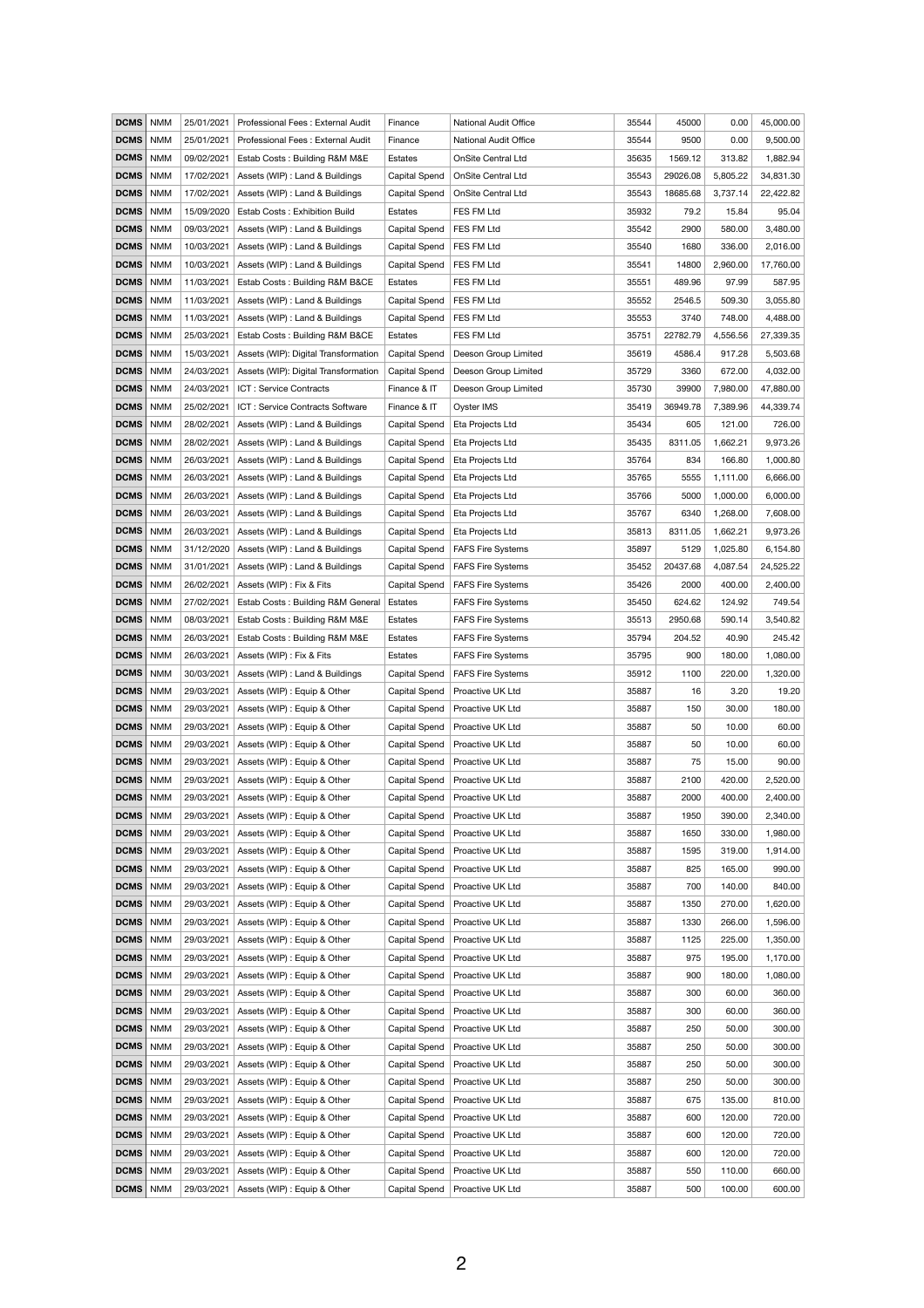| <b>DCMS</b> | <b>NMM</b> | 25/01/2021 | Professional Fees: External Audit    | Finance              | <b>National Audit Office</b> | 35544 | 45000    | 0.00     | 45,000.00 |
|-------------|------------|------------|--------------------------------------|----------------------|------------------------------|-------|----------|----------|-----------|
| <b>DCMS</b> | <b>NMM</b> | 25/01/2021 | Professional Fees: External Audit    | Finance              | National Audit Office        | 35544 | 9500     | 0.00     | 9,500.00  |
| <b>DCMS</b> | <b>NMM</b> | 09/02/2021 | Estab Costs: Building R&M M&E        | Estates              | OnSite Central Ltd           | 35635 | 1569.12  | 313.82   | 1,882.94  |
| <b>DCMS</b> | <b>NMM</b> | 17/02/2021 | Assets (WIP) : Land & Buildings      | <b>Capital Spend</b> | <b>OnSite Central Ltd</b>    | 35543 | 29026.08 | 5,805.22 | 34,831.30 |
| <b>DCMS</b> | <b>NMM</b> | 17/02/2021 | Assets (WIP) : Land & Buildings      | Capital Spend        | OnSite Central Ltd           | 35543 | 18685.68 | 3,737.14 | 22,422.82 |
| <b>DCMS</b> | <b>NMM</b> | 15/09/2020 | Estab Costs: Exhibition Build        | Estates              | FES FM Ltd                   | 35932 | 79.2     | 15.84    | 95.04     |
| <b>DCMS</b> | <b>NMM</b> | 09/03/2021 | Assets (WIP) : Land & Buildings      | <b>Capital Spend</b> | FES FM Ltd                   | 35542 | 2900     | 580.00   | 3,480.00  |
| <b>DCMS</b> | <b>NMM</b> | 10/03/2021 | Assets (WIP) : Land & Buildings      | Capital Spend        | FES FM Ltd                   | 35540 | 1680     | 336.00   | 2,016.00  |
| <b>DCMS</b> | <b>NMM</b> | 10/03/2021 | Assets (WIP) : Land & Buildings      | Capital Spend        | FES FM Ltd                   | 35541 | 14800    | 2,960.00 | 17,760.00 |
| <b>DCMS</b> | <b>NMM</b> | 11/03/2021 | Estab Costs: Building R&M B&CE       | Estates              | FES FM Ltd                   | 35551 | 489.96   | 97.99    | 587.95    |
| <b>DCMS</b> | <b>NMM</b> | 11/03/2021 | Assets (WIP) : Land & Buildings      | <b>Capital Spend</b> | FES FM Ltd                   | 35552 | 2546.5   | 509.30   | 3,055.80  |
| <b>DCMS</b> | <b>NMM</b> | 11/03/2021 | Assets (WIP) : Land & Buildings      | Capital Spend        | FES FM Ltd                   | 35553 | 3740     | 748.00   | 4,488.00  |
| <b>DCMS</b> | <b>NMM</b> | 25/03/2021 | Estab Costs: Building R&M B&CE       | Estates              | FES FM Ltd                   | 35751 | 22782.79 | 4,556.56 | 27,339.35 |
| <b>DCMS</b> | <b>NMM</b> | 15/03/2021 | Assets (WIP): Digital Transformation | <b>Capital Spend</b> | Deeson Group Limited         | 35619 | 4586.4   | 917.28   | 5,503.68  |
| <b>DCMS</b> | <b>NMM</b> | 24/03/2021 | Assets (WIP): Digital Transformation | <b>Capital Spend</b> | Deeson Group Limited         | 35729 | 3360     | 672.00   | 4,032.00  |
| <b>DCMS</b> | <b>NMM</b> | 24/03/2021 | ICT: Service Contracts               | Finance & IT         | Deeson Group Limited         | 35730 | 39900    | 7,980.00 | 47,880.00 |
| <b>DCMS</b> | <b>NMM</b> | 25/02/2021 | ICT: Service Contracts Software      | Finance & IT         | Oyster IMS                   | 35419 | 36949.78 | 7,389.96 | 44,339.74 |
| <b>DCMS</b> | <b>NMM</b> | 28/02/2021 | Assets (WIP) : Land & Buildings      | <b>Capital Spend</b> | Eta Projects Ltd             | 35434 | 605      | 121.00   | 726.00    |
| <b>DCMS</b> | <b>NMM</b> | 28/02/2021 |                                      |                      |                              |       |          |          |           |
|             |            |            | Assets (WIP) : Land & Buildings      | <b>Capital Spend</b> | Eta Projects Ltd             | 35435 | 8311.05  | 1,662.21 | 9,973.26  |
| <b>DCMS</b> | <b>NMM</b> | 26/03/2021 | Assets (WIP) : Land & Buildings      | Capital Spend        | Eta Projects Ltd             | 35764 | 834      | 166.80   | 1,000.80  |
| <b>DCMS</b> | <b>NMM</b> | 26/03/2021 | Assets (WIP) : Land & Buildings      | Capital Spend        | Eta Projects Ltd             | 35765 | 5555     | 1,111.00 | 6,666.00  |
| <b>DCMS</b> | <b>NMM</b> | 26/03/2021 | Assets (WIP) : Land & Buildings      | Capital Spend        | Eta Projects Ltd             | 35766 | 5000     | 1,000.00 | 6,000.00  |
| <b>DCMS</b> | <b>NMM</b> | 26/03/2021 | Assets (WIP) : Land & Buildings      | Capital Spend        | Eta Projects Ltd             | 35767 | 6340     | 1,268.00 | 7,608.00  |
| <b>DCMS</b> | <b>NMM</b> | 26/03/2021 | Assets (WIP) : Land & Buildings      | Capital Spend        | Eta Projects Ltd             | 35813 | 8311.05  | 1,662.21 | 9,973.26  |
| <b>DCMS</b> | <b>NMM</b> | 31/12/2020 | Assets (WIP) : Land & Buildings      | <b>Capital Spend</b> | <b>FAFS Fire Systems</b>     | 35897 | 5129     | 1,025.80 | 6,154.80  |
| <b>DCMS</b> | <b>NMM</b> | 31/01/2021 | Assets (WIP) : Land & Buildings      | Capital Spend        | <b>FAFS Fire Systems</b>     | 35452 | 20437.68 | 4,087.54 | 24,525.22 |
| <b>DCMS</b> | <b>NMM</b> | 26/02/2021 | Assets (WIP) : Fix & Fits            | Capital Spend        | <b>FAFS Fire Systems</b>     | 35426 | 2000     | 400.00   | 2,400.00  |
| <b>DCMS</b> | <b>NMM</b> | 27/02/2021 | Estab Costs: Building R&M General    | Estates              | <b>FAFS Fire Systems</b>     | 35450 | 624.62   | 124.92   | 749.54    |
| <b>DCMS</b> | <b>NMM</b> | 08/03/2021 | Estab Costs: Building R&M M&E        | Estates              | <b>FAFS Fire Systems</b>     | 35513 | 2950.68  | 590.14   | 3,540.82  |
| <b>DCMS</b> | <b>NMM</b> | 26/03/2021 | Estab Costs: Building R&M M&E        | Estates              | <b>FAFS Fire Systems</b>     | 35794 | 204.52   | 40.90    | 245.42    |
| <b>DCMS</b> | <b>NMM</b> | 26/03/2021 | Assets (WIP) : Fix & Fits            | Estates              | <b>FAFS Fire Systems</b>     | 35795 | 900      | 180.00   | 1,080.00  |
| <b>DCMS</b> | <b>NMM</b> | 30/03/2021 | Assets (WIP) : Land & Buildings      | Capital Spend        | <b>FAFS Fire Systems</b>     | 35912 | 1100     | 220.00   | 1,320.00  |
|             |            |            |                                      |                      |                              |       |          |          |           |
| <b>DCMS</b> | <b>NMM</b> | 29/03/2021 | Assets (WIP) : Equip & Other         | Capital Spend        | Proactive UK Ltd             | 35887 | 16       | 3.20     | 19.20     |
| <b>DCMS</b> | <b>NMM</b> | 29/03/2021 | Assets (WIP) : Equip & Other         | Capital Spend        | Proactive UK Ltd             | 35887 | 150      | 30.00    | 180.00    |
| <b>DCMS</b> | <b>NMM</b> | 29/03/2021 | Assets (WIP) : Equip & Other         | Capital Spend        | Proactive UK Ltd             | 35887 | 50       | 10.00    | 60.00     |
| <b>DCMS</b> | <b>NMM</b> | 29/03/2021 | Assets (WIP) : Equip & Other         | Capital Spend        | Proactive UK Ltd             | 35887 | 50       | 10.00    | 60.00     |
| <b>DCMS</b> | <b>NMM</b> | 29/03/2021 | Assets (WIP) : Equip & Other         | Capital Spend        | Proactive UK Ltd             | 35887 | 75       | 15.00    | 90.00     |
| <b>DCMS</b> | <b>NMM</b> | 29/03/2021 | Assets (WIP) : Equip & Other         | Capital Spend        | Proactive UK Ltd             | 35887 | 2100     | 420.00   | 2,520.00  |
| <b>DCMS</b> | <b>NMM</b> | 29/03/2021 | Assets (WIP) : Equip & Other         | Capital Spend        | Proactive UK Ltd             | 35887 | 2000     | 400.00   | 2,400.00  |
| <b>DCMS</b> | <b>NMM</b> | 29/03/2021 | Assets (WIP) : Equip & Other         | Capital Spend        | Proactive UK Ltd             | 35887 | 1950     | 390.00   | 2,340.00  |
| <b>DCMS</b> | <b>NMM</b> | 29/03/2021 | Assets (WIP) : Equip & Other         | Capital Spend        | Proactive UK Ltd             | 35887 | 1650     | 330.00   | 1,980.00  |
| <b>DCMS</b> | <b>NMM</b> | 29/03/2021 | Assets (WIP) : Equip & Other         | Capital Spend        | Proactive UK Ltd             | 35887 | 1595     | 319.00   | 1,914.00  |
| <b>DCMS</b> | <b>NMM</b> | 29/03/2021 | Assets (WIP) : Equip & Other         | Capital Spend        | Proactive UK Ltd             | 35887 | 825      | 165.00   | 990.00    |
| <b>DCMS</b> | <b>NMM</b> | 29/03/2021 | Assets (WIP) : Equip & Other         | Capital Spend        | Proactive UK Ltd             | 35887 | 700      | 140.00   | 840.00    |
| DCMS        | NMM        | 29/03/2021 | Assets (WIP) : Equip & Other         | Capital Spend        | Proactive UK Ltd             | 35887 | 1350     | 270.00   | 1,620.00  |
| <b>DCMS</b> | <b>NMM</b> | 29/03/2021 | Assets (WIP) : Equip & Other         | Capital Spend        | Proactive UK Ltd             | 35887 | 1330     | 266.00   | 1,596.00  |
| <b>DCMS</b> | <b>NMM</b> | 29/03/2021 | Assets (WIP) : Equip & Other         | Capital Spend        | Proactive UK Ltd             | 35887 | 1125     | 225.00   | 1,350.00  |
| <b>DCMS</b> | <b>NMM</b> | 29/03/2021 | Assets (WIP) : Equip & Other         | Capital Spend        | Proactive UK Ltd             | 35887 | 975      | 195.00   | 1,170.00  |
| <b>DCMS</b> | <b>NMM</b> | 29/03/2021 | Assets (WIP) : Equip & Other         | Capital Spend        | Proactive UK Ltd             | 35887 | 900      | 180.00   | 1,080.00  |
| <b>DCMS</b> | <b>NMM</b> | 29/03/2021 | Assets (WIP) : Equip & Other         | Capital Spend        | Proactive UK Ltd             | 35887 | 300      | 60.00    | 360.00    |
| <b>DCMS</b> | <b>NMM</b> | 29/03/2021 | Assets (WIP) : Equip & Other         | Capital Spend        | Proactive UK Ltd             | 35887 | 300      | 60.00    | 360.00    |
| <b>DCMS</b> | <b>NMM</b> | 29/03/2021 | Assets (WIP) : Equip & Other         | Capital Spend        | Proactive UK Ltd             | 35887 | 250      | 50.00    | 300.00    |
| <b>DCMS</b> | <b>NMM</b> | 29/03/2021 | Assets (WIP) : Equip & Other         | Capital Spend        | Proactive UK Ltd             | 35887 | 250      | 50.00    | 300.00    |
| <b>DCMS</b> | <b>NMM</b> | 29/03/2021 | Assets (WIP) : Equip & Other         | Capital Spend        | Proactive UK Ltd             | 35887 | 250      | 50.00    | 300.00    |
| <b>DCMS</b> | <b>NMM</b> | 29/03/2021 | Assets (WIP) : Equip & Other         | Capital Spend        | Proactive UK Ltd             | 35887 | 250      | 50.00    | 300.00    |
| <b>DCMS</b> | <b>NMM</b> | 29/03/2021 | Assets (WIP) : Equip & Other         | Capital Spend        | Proactive UK Ltd             | 35887 | 675      | 135.00   | 810.00    |
| <b>DCMS</b> | <b>NMM</b> | 29/03/2021 | Assets (WIP) : Equip & Other         | Capital Spend        | Proactive UK Ltd             | 35887 | 600      | 120.00   | 720.00    |
| <b>DCMS</b> | <b>NMM</b> | 29/03/2021 | Assets (WIP) : Equip & Other         | Capital Spend        | Proactive UK Ltd             | 35887 | 600      | 120.00   | 720.00    |
| <b>DCMS</b> | <b>NMM</b> | 29/03/2021 | Assets (WIP) : Equip & Other         | Capital Spend        | Proactive UK Ltd             | 35887 | 600      | 120.00   | 720.00    |
| <b>DCMS</b> | <b>NMM</b> | 29/03/2021 | Assets (WIP) : Equip & Other         | Capital Spend        | Proactive UK Ltd             | 35887 | 550      | 110.00   | 660.00    |